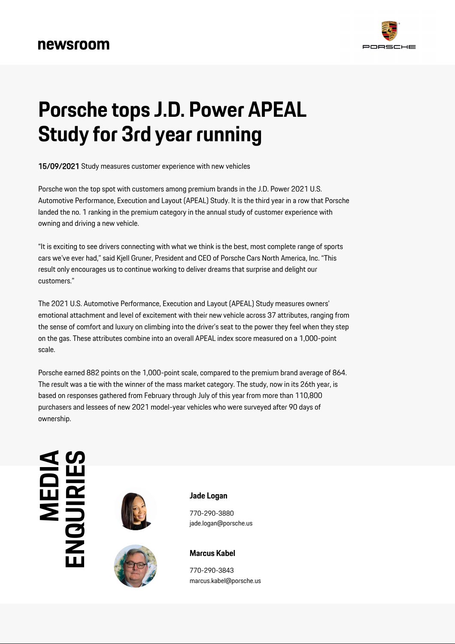

## **Porsche tops J.D. Power APEAL Study for 3rd year running**

15/09/2021 Study measures customer experience with new vehicles

Porsche won the top spot with customers among premium brands in the J.D. Power 2021 U.S. Automotive Performance, Execution and Layout (APEAL) Study. It is the third year in a row that Porsche landed the no. 1 ranking in the premium category in the annual study of customer experience with owning and driving a new vehicle.

"It is exciting to see drivers connecting with what we think is the best, most complete range of sports cars we've ever had," said Kjell Gruner, President and CEO of Porsche Cars North America, Inc. "This result only encourages us to continue working to deliver dreams that surprise and delight our customers."

The 2021 U.S. Automotive Performance, Execution and Layout (APEAL) Study measures owners' emotional attachment and level of excitement with their new vehicle across 37 attributes, ranging from the sense of comfort and luxury on climbing into the driver's seat to the power they feel when they step on the gas. These attributes combine into an overall APEAL index score measured on a 1,000-point scale.

Porsche earned 882 points on the 1,000-point scale, compared to the premium brand average of 864. The result was a tie with the winner of the mass market category. The study, now in its 26th year, is based on responses gathered from February through July of this year from more than 110,800 purchasers and lessees of new 2021 model-year vehicles who were surveyed after 90 days of ownership.

## **MEDIRIES**<br>ENQUIRI





**Jade Logan**

770-290-3880 jade.logan@porsche.us



770-290-3843 marcus.kabel@porsche.us